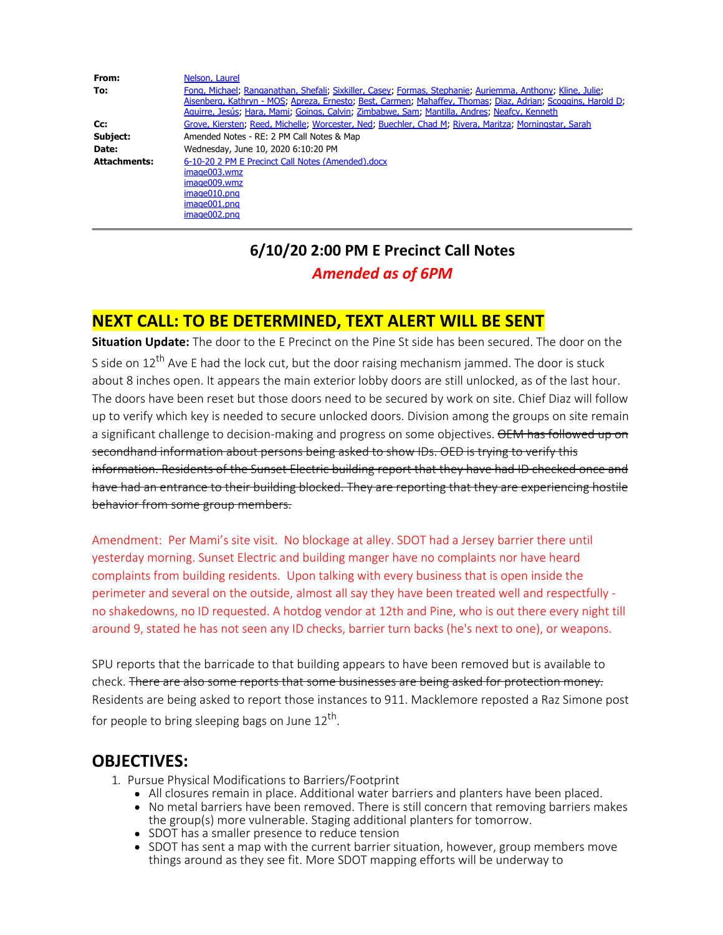From: Nelson, Laurel **To:** Fong, Michael; Ranganathan, Shefali; Sixkiller, Casey; Formas, Stephanie; Auriemma, Anthony; Kline, Julie; Aisenberg, Kathryn - MOS; Apreza, Ernesto; Best, Carmen; Mahaffey, Thomas; Diaz, Adrian; Scoggins, Harold D; Aguirre, Jesús; Hara, Mami; Goings, Calvin; Zimbabwe, Sam; Mantilla, Andres; Neafcy, Kenneth **Cc:** Grove, Kiersten; Reed, Michelle; Worcester, Ned; Buechler, Chad M; Rivera, Maritza; Morningstar, Sarah **Subject:** Amended Notes - RE: 2 PM Call Notes & Map **Date:** Wednesday, June 10, 2020 6:10:20 PM **Attachments:** 6-10-20 2 PM E Precinct Call Notes (Amended).docx image003.wmz image009.wmz image010.png image001.png image002.png

# **6/10/20 2:00 PM E Precinct Call Notes** *Amended as of 6PM*

### **NEXT CALL: TO BE DETERMINED, TEXT ALERT WILL BE SENT**

**Situation Update:** The door to the E Precinct on the Pine St side has been secured. The door on the S side on  $12<sup>th</sup>$  Ave E had the lock cut, but the door raising mechanism jammed. The door is stuck about 8 inches open. It appears the main exterior lobby doors are still unlocked, as of the last hour. The doors have been reset but those doors need to be secured by work on site. Chief Diaz will follow up to verify which key is needed to secure unlocked doors. Division among the groups on site remain a significant challenge to decision-making and progress on some objectives. OEM has followed up on secondhand information about persons being asked to show IDs. OED is trying to verify this information. Residents of the Sunset Electric building report that they have had ID checked once and have had an entrance to their building blocked. They are reporting that they are experiencing hostile behavior from some group members.

Amendment: Per Mami's site visit. No blockage at alley. SDOT had a Jersey barrier there until yesterday morning. Sunset Electric and building manger have no complaints nor have heard complaints from building residents. Upon talking with every business that is open inside the perimeter and several on the outside, almost all say they have been treated well and respectfully no shakedowns, no ID requested. A hotdog vendor at 12th and Pine, who is out there every night till around 9, stated he has not seen any ID checks, barrier turn backs (he's next to one), or weapons.

SPU reports that the barricade to that building appears to have been removed but is available to check. There are also some reports that some businesses are being asked for protection money. Residents are being asked to report those instances to 911. Macklemore reposted a Raz Simone post for people to bring sleeping bags on June  $12<sup>th</sup>$ .

### **OBJECTIVES:**

- 1. Pursue Physical Modifications to Barriers/Footprint
	- All closures remain in place. Additional water barriers and planters have been placed.
	- No metal barriers have been removed. There is still concern that removing barriers makes the group(s) more vulnerable. Staging additional planters for tomorrow.
	- SDOT has a smaller presence to reduce tension
	- SDOT has sent a map with the current barrier situation, however, group members move things around as they see fit. More SDOT mapping efforts will be underway to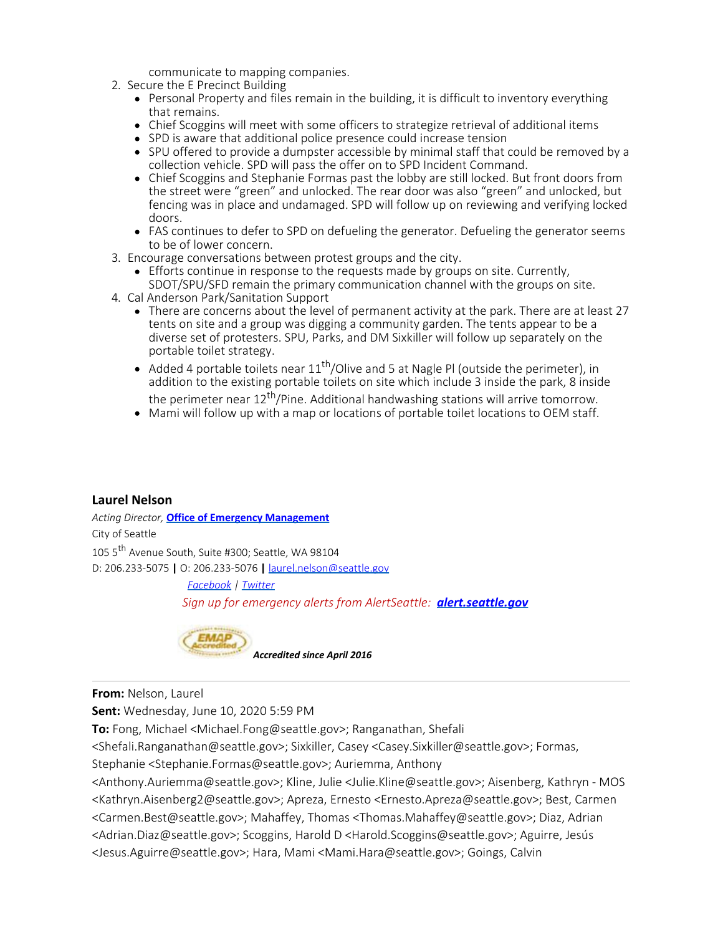communicate to mapping companies.

- 2. Secure the E Precinct Building
	- Personal Property and files remain in the building, it is difficult to inventory everything that remains.
	- Chief Scoggins will meet with some officers to strategize retrieval of additional items
	- SPD is aware that additional police presence could increase tension
	- SPU offered to provide a dumpster accessible by minimal staff that could be removed by a collection vehicle. SPD will pass the offer on to SPD Incident Command.
	- Chief Scoggins and Stephanie Formas past the lobby are still locked. But front doors from the street were "green" and unlocked. The rear door was also "green" and unlocked, but fencing was in place and undamaged. SPD will follow up on reviewing and verifying locked doors.
	- FAS continues to defer to SPD on defueling the generator. Defueling the generator seems to be of lower concern.
- 3. Encourage conversations between protest groups and the city.
	- Efforts continue in response to the requests made by groups on site. Currently, SDOT/SPU/SFD remain the primary communication channel with the groups on site.
- 4. Cal Anderson Park/Sanitation Support
	- There are concerns about the level of permanent activity at the park. There are at least 27 tents on site and a group was digging a community garden. The tents appear to be a diverse set of protesters. SPU, Parks, and DM Sixkiller will follow up separately on the portable toilet strategy.
	- Added 4 portable toilets near  $11<sup>th</sup>/O$ live and 5 at Nagle Pl (outside the perimeter), in addition to the existing portable toilets on site which include 3 inside the park, 8 inside
	- the perimeter near  $12^{th}/P$ ine. Additional handwashing stations will arrive tomorrow.
	- Mami will follow up with a map or locations of portable toilet locations to OEM staff.

### **Laurel Nelson**

*Acting Director,* **[Office of Emergency Management](http://www.seattle.gov/emergency/)** City of Seattle 105 5th Avenue South, Suite #300; Seattle, WA 98104 D: 206.233-5075 **|** O: 206.233-5076 **|** laurel.nelson@seattle.gov

> *[Facebook](https://www.facebook.com/OEMSeattle/) | [Twitter](https://twitter.com/oemseattle) Sign up for emergency alerts from AlertSeattle: [alert.seattle.gov](file:////c/alert.seattle.gov)*



#### **From:** Nelson, Laurel

**Sent:** Wednesday, June 10, 2020 5:59 PM

**To:** Fong, Michael <Michael.Fong@seattle.gov>; Ranganathan, Shefali

<Shefali.Ranganathan@seattle.gov>; Sixkiller, Casey <Casey.Sixkiller@seattle.gov>; Formas,

Stephanie <Stephanie.Formas@seattle.gov>; Auriemma, Anthony

<Anthony.Auriemma@seattle.gov>; Kline, Julie <Julie.Kline@seattle.gov>; Aisenberg, Kathryn - MOS <Kathryn.Aisenberg2@seattle.gov>; Apreza, Ernesto <Ernesto.Apreza@seattle.gov>; Best, Carmen <Carmen.Best@seattle.gov>; Mahaffey, Thomas <Thomas.Mahaffey@seattle.gov>; Diaz, Adrian <Adrian.Diaz@seattle.gov>; Scoggins, Harold D <Harold.Scoggins@seattle.gov>; Aguirre, Jesús <Jesus.Aguirre@seattle.gov>; Hara, Mami <Mami.Hara@seattle.gov>; Goings, Calvin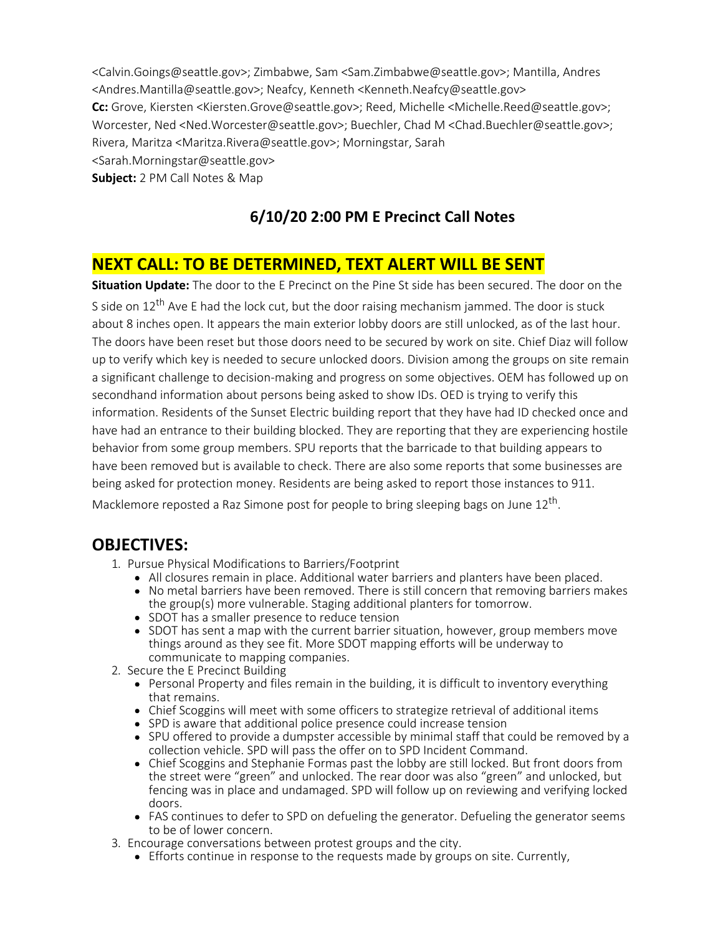<Calvin.Goings@seattle.gov>; Zimbabwe, Sam <Sam.Zimbabwe@seattle.gov>; Mantilla, Andres <Andres.Mantilla@seattle.gov>; Neafcy, Kenneth <Kenneth.Neafcy@seattle.gov> **Cc:** Grove, Kiersten <Kiersten.Grove@seattle.gov>; Reed, Michelle <Michelle.Reed@seattle.gov>; Worcester, Ned <Ned.Worcester@seattle.gov>; Buechler, Chad M <Chad.Buechler@seattle.gov>; Rivera, Maritza <Maritza.Rivera@seattle.gov>; Morningstar, Sarah <Sarah.Morningstar@seattle.gov> **Subject:** 2 PM Call Notes & Map

## **6/10/20 2:00 PM E Precinct Call Notes**

## **NEXT CALL: TO BE DETERMINED, TEXT ALERT WILL BE SENT**

**Situation Update:** The door to the E Precinct on the Pine St side has been secured. The door on the S side on  $12^{th}$  Ave E had the lock cut, but the door raising mechanism jammed. The door is stuck about 8 inches open. It appears the main exterior lobby doors are still unlocked, as of the last hour. The doors have been reset but those doors need to be secured by work on site. Chief Diaz will follow up to verify which key is needed to secure unlocked doors. Division among the groups on site remain a significant challenge to decision-making and progress on some objectives. OEM has followed up on secondhand information about persons being asked to show IDs. OED is trying to verify this information. Residents of the Sunset Electric building report that they have had ID checked once and have had an entrance to their building blocked. They are reporting that they are experiencing hostile behavior from some group members. SPU reports that the barricade to that building appears to have been removed but is available to check. There are also some reports that some businesses are being asked for protection money. Residents are being asked to report those instances to 911. Macklemore reposted a Raz Simone post for people to bring sleeping bags on June  $12<sup>th</sup>$ .

### **OBJECTIVES:**

- 1. Pursue Physical Modifications to Barriers/Footprint
	- All closures remain in place. Additional water barriers and planters have been placed.
		- No metal barriers have been removed. There is still concern that removing barriers makes the group(s) more vulnerable. Staging additional planters for tomorrow.
		- SDOT has a smaller presence to reduce tension
		- SDOT has sent a map with the current barrier situation, however, group members move things around as they see fit. More SDOT mapping efforts will be underway to communicate to mapping companies.
- 2. Secure the E Precinct Building
	- Personal Property and files remain in the building, it is difficult to inventory everything that remains.
	- Chief Scoggins will meet with some officers to strategize retrieval of additional items
	- SPD is aware that additional police presence could increase tension
	- SPU offered to provide a dumpster accessible by minimal staff that could be removed by a collection vehicle. SPD will pass the offer on to SPD Incident Command.
	- Chief Scoggins and Stephanie Formas past the lobby are still locked. But front doors from the street were "green" and unlocked. The rear door was also "green" and unlocked, but fencing was in place and undamaged. SPD will follow up on reviewing and verifying locked doors.
	- FAS continues to defer to SPD on defueling the generator. Defueling the generator seems to be of lower concern.
- 3. Encourage conversations between protest groups and the city.
	- Efforts continue in response to the requests made by groups on site. Currently,